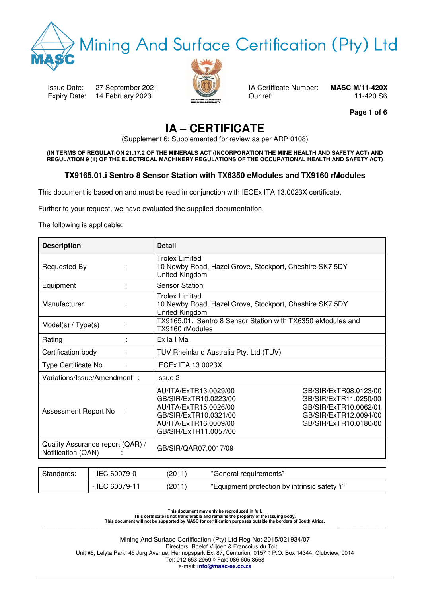

# Mining And Surface Certification (Pty) Ltd

Issue Date: 27 September 2021 IA Certificate Number: **MASC M/11-420X** Expiry Date: 14 February 2023 **Our ref:** 0.11-420 S6



**Page 1 of 6** 

## **IA – CERTIFICATE**

(Supplement 6: Supplemented for review as per ARP 0108)

**(IN TERMS OF REGULATION 21.17.2 OF THE MINERALS ACT (INCORPORATION THE MINE HEALTH AND SAFETY ACT) AND REGULATION 9 (1) OF THE ELECTRICAL MACHINERY REGULATIONS OF THE OCCUPATIONAL HEALTH AND SAFETY ACT)** 

### **TX9165.01.i Sentro 8 Sensor Station with TX6350 eModules and TX9160 rModules**

This document is based on and must be read in conjunction with IECEx ITA 13.0023X certificate.

Further to your request, we have evaluated the supplied documentation.

The following is applicable:

| <b>Description</b>                                     | <b>Detail</b>                                                                                                                                                                                                                                                                   |  |  |  |  |  |
|--------------------------------------------------------|---------------------------------------------------------------------------------------------------------------------------------------------------------------------------------------------------------------------------------------------------------------------------------|--|--|--|--|--|
| Requested By                                           | <b>Trolex Limited</b><br>10 Newby Road, Hazel Grove, Stockport, Cheshire SK7 5DY<br>United Kingdom                                                                                                                                                                              |  |  |  |  |  |
| Equipment                                              | <b>Sensor Station</b>                                                                                                                                                                                                                                                           |  |  |  |  |  |
| Manufacturer                                           | <b>Trolex Limited</b><br>10 Newby Road, Hazel Grove, Stockport, Cheshire SK7 5DY<br>United Kingdom                                                                                                                                                                              |  |  |  |  |  |
| Model(s) / Type(s)                                     | TX9165.01.i Sentro 8 Sensor Station with TX6350 eModules and<br>TX9160 rModules                                                                                                                                                                                                 |  |  |  |  |  |
| Rating                                                 | Ex ia I Ma                                                                                                                                                                                                                                                                      |  |  |  |  |  |
| Certification body                                     | TUV Rheinland Australia Pty. Ltd (TUV)                                                                                                                                                                                                                                          |  |  |  |  |  |
| Type Certificate No                                    | <b>IECEx ITA 13.0023X</b>                                                                                                                                                                                                                                                       |  |  |  |  |  |
| Variations/Issue/Amendment:                            | Issue 2                                                                                                                                                                                                                                                                         |  |  |  |  |  |
| Assessment Report No                                   | AU/ITA/ExTR13.0029/00<br>GB/SIR/ExTR08.0123/00<br>GB/SIR/ExTR10.0223/00<br>GB/SIR/ExTR11.0250/00<br>AU/ITA/ExTR15.0026/00<br>GB/SIR/ExTR10.0062/01<br>GB/SIR/ExTR10.0321/00<br>GB/SIR/ExTR12.0094/00<br>AU/ITA/ExTR16.0009/00<br>GB/SIR/ExTR10.0180/00<br>GB/SIR/ExTR11.0057/00 |  |  |  |  |  |
| Quality Assurance report (QAR) /<br>Notification (QAN) | GB/SIR/QAR07.0017/09                                                                                                                                                                                                                                                            |  |  |  |  |  |

| Standards: | - IEC 60079-0  | (2011) | "General requirements"                         |
|------------|----------------|--------|------------------------------------------------|
|            | - IEC 60079-11 | (2011) | "Equipment protection by intrinsic safety 'i'" |

This document may only be reproduced in full.<br>This certificate is not transferable and remains the property of the issuing body.<br>This document will not be supported by MASC for certification purposes outside the borders of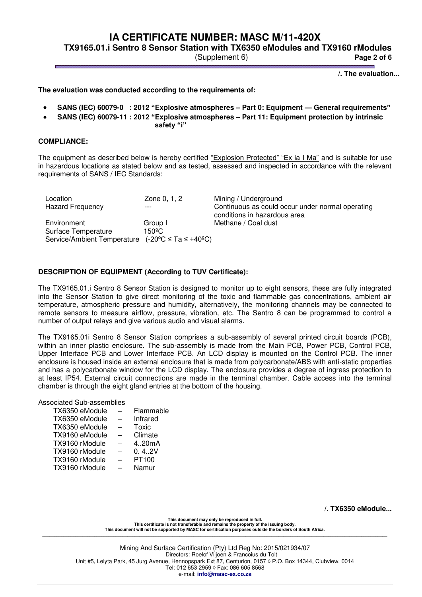**TX9165.01.i Sentro 8 Sensor Station with TX6350 eModules and TX9160 rModules** 

(Supplement 6) **Page 2 of 6**

 **/. The evaluation...** 

**The evaluation was conducted according to the requirements of:** 

- **SANS (IEC) 60079-0 : 2012 "Explosive atmospheres – Part 0: Equipment — General requirements"**
- **SANS (IEC) 60079-11 : 2012 "Explosive atmospheres – Part 11: Equipment protection by intrinsic**

**safety "i"**

### **COMPLIANCE:**

The equipment as described below is hereby certified "Explosion Protected" "Ex ia I Ma" and is suitable for use in hazardous locations as stated below and as tested, assessed and inspected in accordance with the relevant requirements of SANS / IEC Standards:

| Location                                                             | Zone 0, 1, 2    | Mining / Underground                                                             |
|----------------------------------------------------------------------|-----------------|----------------------------------------------------------------------------------|
| <b>Hazard Frequency</b>                                              |                 | Continuous as could occur under normal operating<br>conditions in hazardous area |
| Environment                                                          | Group I         | Methane / Coal dust                                                              |
| Surface Temperature                                                  | $150^{\circ}$ C |                                                                                  |
| Service/Ambient Temperature $(-20^{\circ}C \le Ta \le +40^{\circ}C)$ |                 |                                                                                  |

### **DESCRIPTION OF EQUIPMENT (According to TUV Certificate):**

The TX9165.01.i Sentro 8 Sensor Station is designed to monitor up to eight sensors, these are fully integrated into the Sensor Station to give direct monitoring of the toxic and flammable gas concentrations, ambient air temperature, atmospheric pressure and humidity, alternatively, the monitoring channels may be connected to remote sensors to measure airflow, pressure, vibration, etc. The Sentro 8 can be programmed to control a number of output relays and give various audio and visual alarms.

The TX9165.01i Sentro 8 Sensor Station comprises a sub-assembly of several printed circuit boards (PCB), within an inner plastic enclosure. The sub-assembly is made from the Main PCB, Power PCB, Control PCB, Upper Interface PCB and Lower Interface PCB. An LCD display is mounted on the Control PCB. The inner enclosure is housed inside an external enclosure that is made from polycarbonate/ABS with anti-static properties and has a polycarbonate window for the LCD display. The enclosure provides a degree of ingress protection to at least IP54. External circuit connections are made in the terminal chamber. Cable access into the terminal chamber is through the eight gland entries at the bottom of the housing.

Associated Sub-assemblies

| TX6350 eModule | Flammable |
|----------------|-----------|
| TX6350 eModule | Infrared  |
| TX6350 eModule | Toxic     |
| TX9160 eModule | Climate   |
| TX9160 rModule | 4.20mA    |
| TX9160 rModule | 0.4.2V    |
| TX9160 rModule | PT100     |
| TX9160 rModule | Namur     |
|                |           |

**/. TX6350 eModule...** 

**This document may only be reproduced in full. This certificate is not transferable and remains the property of the issuing body. This document will not be supported by MASC for certification purposes outside the borders of South Africa. \_\_\_\_\_\_\_\_\_\_\_\_\_\_\_\_\_\_\_\_\_\_\_\_\_\_\_\_\_\_\_\_\_\_\_\_\_\_\_\_\_\_\_\_\_\_\_\_\_\_\_\_\_\_\_\_\_\_\_\_\_\_\_\_\_\_\_\_\_\_\_\_\_\_\_\_\_\_\_\_\_\_\_\_\_\_\_\_\_\_\_\_\_\_\_\_\_\_\_\_\_\_\_\_\_\_\_\_\_\_\_\_\_\_\_\_\_\_\_\_\_\_\_\_\_\_\_\_\_\_\_\_\_\_\_\_\_\_\_\_\_\_\_\_\_\_**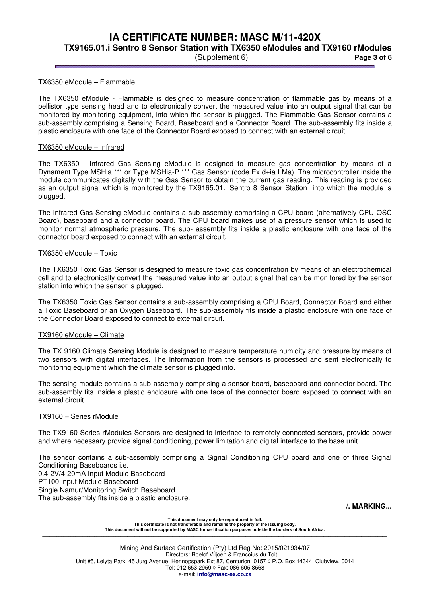**TX9165.01.i Sentro 8 Sensor Station with TX6350 eModules and TX9160 rModules** 

(Supplement 6) **Page 3 of 6**

### TX6350 eModule – Flammable

The TX6350 eModule - Flammable is designed to measure concentration of flammable gas by means of a pellistor type sensing head and to electronically convert the measured value into an output signal that can be monitored by monitoring equipment, into which the sensor is plugged. The Flammable Gas Sensor contains a sub-assembly comprising a Sensing Board, Baseboard and a Connector Board. The sub-assembly fits inside a plastic enclosure with one face of the Connector Board exposed to connect with an external circuit.

#### TX6350 eModule – Infrared

The TX6350 - Infrared Gas Sensing eModule is designed to measure gas concentration by means of a Dynament Type MSHia \*\*\* or Type MSHia-P \*\*\* Gas Sensor (code Ex d+ia I Ma). The microcontroller inside the module communicates digitally with the Gas Sensor to obtain the current gas reading. This reading is provided as an output signal which is monitored by the TX9165.01.i Sentro 8 Sensor Station into which the module is plugged.

The Infrared Gas Sensing eModule contains a sub-assembly comprising a CPU board (alternatively CPU OSC Board), baseboard and a connector board. The CPU board makes use of a pressure sensor which is used to monitor normal atmospheric pressure. The sub- assembly fits inside a plastic enclosure with one face of the connector board exposed to connect with an external circuit.

#### TX6350 eModule – Toxic

The TX6350 Toxic Gas Sensor is designed to measure toxic gas concentration by means of an electrochemical cell and to electronically convert the measured value into an output signal that can be monitored by the sensor station into which the sensor is plugged.

The TX6350 Toxic Gas Sensor contains a sub-assembly comprising a CPU Board, Connector Board and either a Toxic Baseboard or an Oxygen Baseboard. The sub-assembly fits inside a plastic enclosure with one face of the Connector Board exposed to connect to external circuit.

### TX9160 eModule – Climate

The TX 9160 Climate Sensing Module is designed to measure temperature humidity and pressure by means of two sensors with digital interfaces. The Information from the sensors is processed and sent electronically to monitoring equipment which the climate sensor is plugged into.

The sensing module contains a sub-assembly comprising a sensor board, baseboard and connector board. The sub-assembly fits inside a plastic enclosure with one face of the connector board exposed to connect with an external circuit.

### TX9160 – Series rModule

The TX9160 Series rModules Sensors are designed to interface to remotely connected sensors, provide power and where necessary provide signal conditioning, power limitation and digital interface to the base unit.

The sensor contains a sub-assembly comprising a Signal Conditioning CPU board and one of three Signal Conditioning Baseboards i.e. 0.4-2V/4-20mA Input Module Baseboard PT100 Input Module Baseboard Single Namur/Monitoring Switch Baseboard The sub-assembly fits inside a plastic enclosure.

**/. MARKING...**

**This document may only be reproduced in full. This certificate is not transferable and remains the property of the issuing body. This document will not be supported by MASC for certification purposes outside the borders of South Africa. \_\_\_\_\_\_\_\_\_\_\_\_\_\_\_\_\_\_\_\_\_\_\_\_\_\_\_\_\_\_\_\_\_\_\_\_\_\_\_\_\_\_\_\_\_\_\_\_\_\_\_\_\_\_\_\_\_\_\_\_\_\_\_\_\_\_\_\_\_\_\_\_\_\_\_\_\_\_\_\_\_\_\_\_\_\_\_\_\_\_\_\_\_\_\_\_\_\_\_\_\_\_\_\_\_\_\_\_\_\_\_\_\_\_\_\_\_\_\_\_\_\_\_\_\_\_\_\_\_\_\_\_\_\_\_\_\_\_\_\_\_\_\_\_\_\_**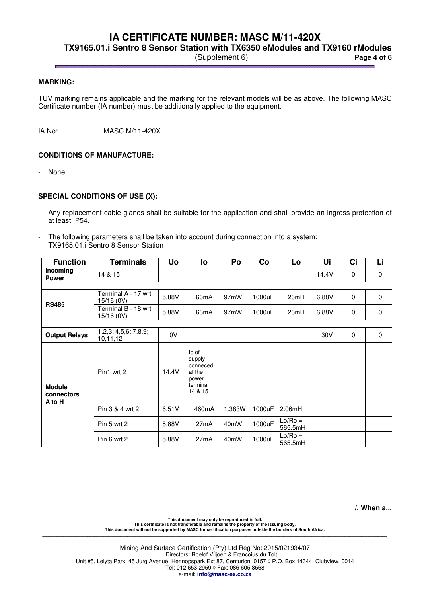**TX9165.01.i Sentro 8 Sensor Station with TX6350 eModules and TX9160 rModules** 

(Supplement 6) **Page 4 of 6**

### **MARKING:**

TUV marking remains applicable and the marking for the relevant models will be as above. The following MASC Certificate number (IA number) must be additionally applied to the equipment.

IA No: MASC M/11-420X

### **CONDITIONS OF MANUFACTURE:**

- None

### **SPECIAL CONDITIONS OF USE (X):**

- Any replacement cable glands shall be suitable for the application and shall provide an ingress protection of at least IP54.
- The following parameters shall be taken into account during connection into a system: TX9165.01.i Sentro 8 Sensor Station

| <b>Function</b>                       | <b>Terminals</b>                       | Uo    | lo                                                                    | Po                | Co     | Lo                   | Ui    | Ci          | Li |
|---------------------------------------|----------------------------------------|-------|-----------------------------------------------------------------------|-------------------|--------|----------------------|-------|-------------|----|
| Incoming<br><b>Power</b>              | 14 & 15                                |       |                                                                       |                   |        |                      | 14.4V | $\mathbf 0$ | 0  |
|                                       |                                        |       |                                                                       |                   |        |                      |       |             |    |
| <b>RS485</b>                          | Terminal A - 17 wrt<br>15/16 (0V)      | 5.88V | 66mA                                                                  | 97 <sub>m</sub> W | 1000uF | 26mH                 | 6.88V | $\Omega$    | 0  |
|                                       | Terminal B - 18 wrt<br>15/16 (0V)      | 5.88V | 66 <sub>m</sub> A                                                     | 97 <sub>m</sub> W | 1000uF | 26mH                 | 6.88V | $\mathbf 0$ | 0  |
|                                       |                                        |       |                                                                       |                   |        |                      |       |             |    |
| <b>Output Relays</b>                  | 1, 2, 3; 4, 5, 6; 7, 8, 9;<br>10,11,12 | 0V    |                                                                       |                   |        |                      | 30V   | $\Omega$    | 0  |
| <b>Module</b><br>connectors<br>A to H | Pin1 wrt 2                             | 14.4V | lo of<br>supply<br>conneced<br>at the<br>power<br>terminal<br>14 & 15 |                   |        |                      |       |             |    |
|                                       | Pin 3 & 4 wrt 2                        | 6.51V | 460mA                                                                 | 1.383W            | 1000uF | 2.06mH               |       |             |    |
|                                       | Pin 5 wrt 2                            | 5.88V | 27mA                                                                  | 40 <sub>m</sub> W | 1000uF | $Lo/Ro =$<br>565.5mH |       |             |    |
|                                       | Pin 6 wrt 2                            | 5.88V | 27mA                                                                  | 40 <sub>m</sub> W | 1000uF | $Lo/Ro =$<br>565.5mH |       |             |    |

**/. When a...**

This document may only be reproduced in full.<br>This certificate is not transferable and remains the property of the issuing body.<br>This document will not be supported by MASC for certification purposes outside the borders of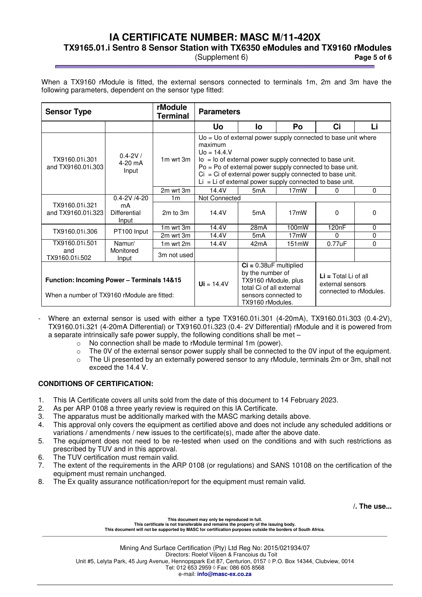**TX9165.01.i Sentro 8 Sensor Station with TX6350 eModules and TX9160 rModules** 

(Supplement 6) **Page 5 of 6**

When a TX9160 rModule is fitted, the external sensors connected to terminals 1m, 2m and 3m have the following parameters, dependent on the sensor type fitted:

| rModule<br><b>Sensor Type</b><br><b>Terminal</b>                                          |                                   |                                |                                                                                                                                                                                                                                                                                                                                                            | <b>Parameters</b> |                                                                      |                    |          |  |
|-------------------------------------------------------------------------------------------|-----------------------------------|--------------------------------|------------------------------------------------------------------------------------------------------------------------------------------------------------------------------------------------------------------------------------------------------------------------------------------------------------------------------------------------------------|-------------------|----------------------------------------------------------------------|--------------------|----------|--|
|                                                                                           |                                   |                                | <b>Uo</b>                                                                                                                                                                                                                                                                                                                                                  | lo                | Po                                                                   | Ci                 | Li       |  |
| TX9160.01i.301<br>and TX9160.01i.303                                                      | $0.4 - 2V/$<br>$4-20$ mA<br>Input | 1m wrt 3m                      | $U_0 = U_0$ of external power supply connected to base unit where<br>maximum<br>$U_0 = 14.4$ .<br>$\log$ = $\log$ of external power supply connected to base unit.<br>Po = Po of external power supply connected to base unit.<br>$Ci = Ci$ of external power supply connected to base unit.<br>$Li = Li$ of external power supply connected to base unit. |                   |                                                                      |                    |          |  |
|                                                                                           |                                   | 2m wrt 3m                      | 14.4V                                                                                                                                                                                                                                                                                                                                                      | 5 <sub>m</sub> A  | 17 <sub>m</sub> W                                                    | 0                  | 0        |  |
|                                                                                           | $0.4 - 2V / 4 - 20$               | 1 <sub>m</sub>                 | Not Connected                                                                                                                                                                                                                                                                                                                                              |                   |                                                                      |                    |          |  |
| TX9160.01i.321<br>and TX9160.01i.323                                                      | mA<br>Differential<br>Input       | $2m$ to $3m$                   | 14.4V                                                                                                                                                                                                                                                                                                                                                      | 5 <sub>m</sub> A  | 17 <sub>m</sub> W                                                    | 0                  | 0        |  |
| TX9160.01i.306                                                                            |                                   | 1m wrt 3m                      | 14.4V                                                                                                                                                                                                                                                                                                                                                      | 28mA              | 100mW                                                                | 120 <sub>n</sub> F | 0        |  |
|                                                                                           | PT100 Input                       | 2m wrt 3m                      | 14.4V                                                                                                                                                                                                                                                                                                                                                      | 5mA               | 17 <sub>m</sub> W                                                    | 0                  | 0        |  |
| TX9160.01i.501                                                                            | Namur/                            | 1m wrt 2m                      | 14.4V                                                                                                                                                                                                                                                                                                                                                      | 42mA              | 151mW                                                                | 0.77uF             | $\Omega$ |  |
| and<br>TX9160.01i.502                                                                     | Monitored<br>Input                | 3m not used                    |                                                                                                                                                                                                                                                                                                                                                            |                   |                                                                      |                    |          |  |
| Function: Incoming Power - Terminals 14&15<br>When a number of TX9160 rModule are fitted: |                                   | $\mathbf{U} = 14.4 \mathbf{V}$ | $Ci = 0.38uF$ multiplied<br>by the number of<br>TX9160 rModule, plus<br>total Ci of all external<br>sensors connected to<br>TX9160 rModules.                                                                                                                                                                                                               |                   | $Li = Total Li of all$<br>external sensors<br>connected to rModules. |                    |          |  |

- Where an external sensor is used with either a type TX9160.01i.301 (4-20mA), TX9160.01i.303 (0.4-2V), TX9160.01i.321 (4-20mA Differential) or TX9160.01i.323 (0.4- 2V Differential) rModule and it is powered from a separate intrinsically safe power supply, the following conditions shall be met –
	- o No connection shall be made to rModule terminal 1m (power).
	- $\circ$  The 0V of the external sensor power supply shall be connected to the 0V input of the equipment.
	- $\circ$  The Ui presented by an externally powered sensor to any rModule, terminals 2m or 3m, shall not exceed the 14.4 V.

### **CONDITIONS OF CERTIFICATION:**

- 1. This IA Certificate covers all units sold from the date of this document to 14 February 2023.
- 2. As per ARP 0108 a three yearly review is required on this IA Certificate.
- 3. The apparatus must be additionally marked with the MASC marking details above.
- 4. This approval only covers the equipment as certified above and does not include any scheduled additions or variations / amendments / new issues to the certificate(s), made after the above date.
- 5. The equipment does not need to be re-tested when used on the conditions and with such restrictions as prescribed by TUV and in this approval.
- 6. The TUV certification must remain valid.
- 7. The extent of the requirements in the ARP 0108 (or regulations) and SANS 10108 on the certification of the equipment must remain unchanged.
- 8. The Ex quality assurance notification/report for the equipment must remain valid.

**/. The use...**

**This document may only be reproduced in full. This certificate is not transferable and remains the property of the issuing body. This document will not be supported by MASC for certification purposes outside the borders of South Africa. \_\_\_\_\_\_\_\_\_\_\_\_\_\_\_\_\_\_\_\_\_\_\_\_\_\_\_\_\_\_\_\_\_\_\_\_\_\_\_\_\_\_\_\_\_\_\_\_\_\_\_\_\_\_\_\_\_\_\_\_\_\_\_\_\_\_\_\_\_\_\_\_\_\_\_\_\_\_\_\_\_\_\_\_\_\_\_\_\_\_\_\_\_\_\_\_\_\_\_\_\_\_\_\_\_\_\_\_\_\_\_\_\_\_\_\_\_\_\_\_\_\_\_\_\_\_\_\_\_\_\_\_\_\_\_\_\_\_\_\_\_\_\_\_\_\_**